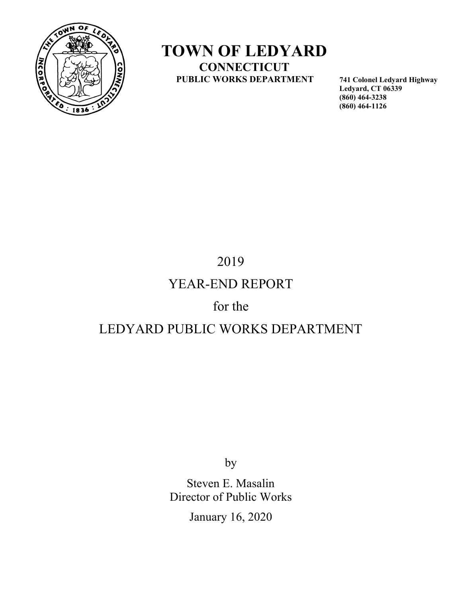

## TOWN OF LEDYARD **CONNECTICUT** PUBLIC WORKS DEPARTMENT 741 Colonel Ledyard Highway

 Ledyard, CT 06339 (860) 464-3238 (860) 464-1126

# 2019

## YEAR-END REPORT

## for the

## LEDYARD PUBLIC WORKS DEPARTMENT

by

 Steven E. Masalin Director of Public Works

January 16, 2020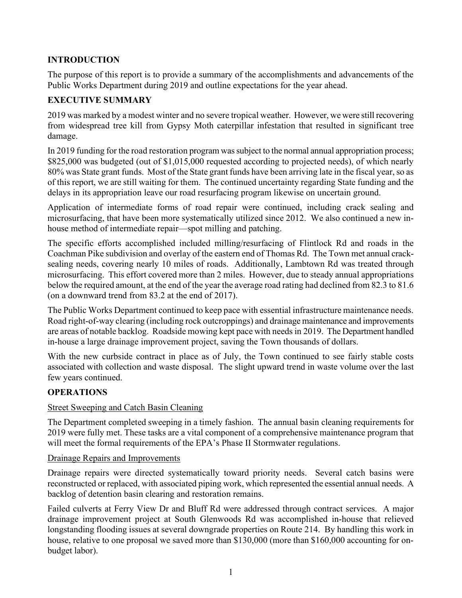## INTRODUCTION

The purpose of this report is to provide a summary of the accomplishments and advancements of the Public Works Department during 2019 and outline expectations for the year ahead.

## EXECUTIVE SUMMARY

2019 was marked by a modest winter and no severe tropical weather. However, we were still recovering from widespread tree kill from Gypsy Moth caterpillar infestation that resulted in significant tree damage.

In 2019 funding for the road restoration program was subject to the normal annual appropriation process; \$825,000 was budgeted (out of \$1,015,000 requested according to projected needs), of which nearly 80% was State grant funds. Most of the State grant funds have been arriving late in the fiscal year, so as of this report, we are still waiting for them. The continued uncertainty regarding State funding and the delays in its appropriation leave our road resurfacing program likewise on uncertain ground.

Application of intermediate forms of road repair were continued, including crack sealing and microsurfacing, that have been more systematically utilized since 2012. We also continued a new inhouse method of intermediate repair—spot milling and patching.

The specific efforts accomplished included milling/resurfacing of Flintlock Rd and roads in the Coachman Pike subdivision and overlay of the eastern end of Thomas Rd. The Town met annual cracksealing needs, covering nearly 10 miles of roads. Additionally, Lambtown Rd was treated through microsurfacing. This effort covered more than 2 miles. However, due to steady annual appropriations below the required amount, at the end of the year the average road rating had declined from 82.3 to 81.6 (on a downward trend from 83.2 at the end of 2017).

The Public Works Department continued to keep pace with essential infrastructure maintenance needs. Road right-of-way clearing (including rock outcroppings) and drainage maintenance and improvements are areas of notable backlog. Roadside mowing kept pace with needs in 2019. The Department handled in-house a large drainage improvement project, saving the Town thousands of dollars.

With the new curbside contract in place as of July, the Town continued to see fairly stable costs associated with collection and waste disposal. The slight upward trend in waste volume over the last few years continued.

## **OPERATIONS**

#### Street Sweeping and Catch Basin Cleaning

The Department completed sweeping in a timely fashion. The annual basin cleaning requirements for 2019 were fully met. These tasks are a vital component of a comprehensive maintenance program that will meet the formal requirements of the EPA's Phase II Stormwater regulations.

#### Drainage Repairs and Improvements

Drainage repairs were directed systematically toward priority needs. Several catch basins were reconstructed or replaced, with associated piping work, which represented the essential annual needs. A backlog of detention basin clearing and restoration remains.

Failed culverts at Ferry View Dr and Bluff Rd were addressed through contract services. A major drainage improvement project at South Glenwoods Rd was accomplished in-house that relieved longstanding flooding issues at several downgrade properties on Route 214. By handling this work in house, relative to one proposal we saved more than \$130,000 (more than \$160,000 accounting for onbudget labor).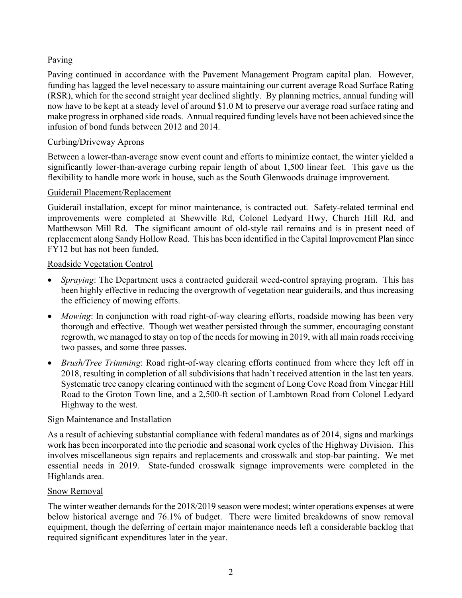### Paving

Paving continued in accordance with the Pavement Management Program capital plan. However, funding has lagged the level necessary to assure maintaining our current average Road Surface Rating (RSR), which for the second straight year declined slightly. By planning metrics, annual funding will now have to be kept at a steady level of around \$1.0 M to preserve our average road surface rating and make progress in orphaned side roads. Annual required funding levels have not been achieved since the infusion of bond funds between 2012 and 2014.

#### Curbing/Driveway Aprons

Between a lower-than-average snow event count and efforts to minimize contact, the winter yielded a significantly lower-than-average curbing repair length of about 1,500 linear feet. This gave us the flexibility to handle more work in house, such as the South Glenwoods drainage improvement.

#### Guiderail Placement/Replacement

Guiderail installation, except for minor maintenance, is contracted out. Safety-related terminal end improvements were completed at Shewville Rd, Colonel Ledyard Hwy, Church Hill Rd, and Matthewson Mill Rd. The significant amount of old-style rail remains and is in present need of replacement along Sandy Hollow Road. This has been identified in the Capital Improvement Plan since FY12 but has not been funded.

#### Roadside Vegetation Control

- Spraying: The Department uses a contracted guiderail weed-control spraying program. This has been highly effective in reducing the overgrowth of vegetation near guiderails, and thus increasing the efficiency of mowing efforts.
- Mowing: In conjunction with road right-of-way clearing efforts, roadside mowing has been very thorough and effective. Though wet weather persisted through the summer, encouraging constant regrowth, we managed to stay on top of the needs for mowing in 2019, with all main roads receiving two passes, and some three passes.
- Brush/Tree Trimming: Road right-of-way clearing efforts continued from where they left off in 2018, resulting in completion of all subdivisions that hadn't received attention in the last ten years. Systematic tree canopy clearing continued with the segment of Long Cove Road from Vinegar Hill Road to the Groton Town line, and a 2,500-ft section of Lambtown Road from Colonel Ledyard Highway to the west.

#### Sign Maintenance and Installation

As a result of achieving substantial compliance with federal mandates as of 2014, signs and markings work has been incorporated into the periodic and seasonal work cycles of the Highway Division. This involves miscellaneous sign repairs and replacements and crosswalk and stop-bar painting. We met essential needs in 2019. State-funded crosswalk signage improvements were completed in the Highlands area.

#### Snow Removal

The winter weather demands for the 2018/2019 season were modest; winter operations expenses at were below historical average and 76.1% of budget. There were limited breakdowns of snow removal equipment, though the deferring of certain major maintenance needs left a considerable backlog that required significant expenditures later in the year.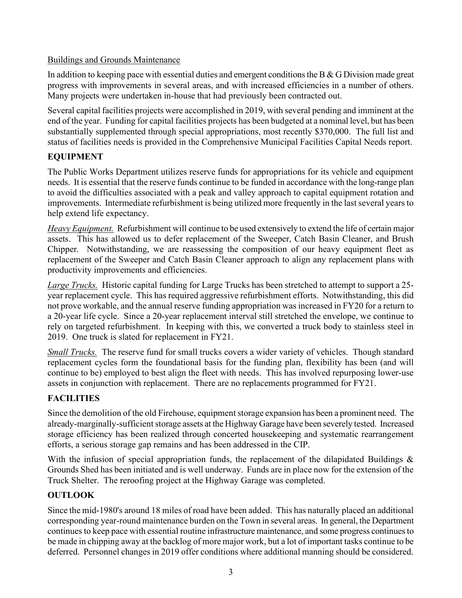### Buildings and Grounds Maintenance

In addition to keeping pace with essential duties and emergent conditions the B  $\&$  G Division made great progress with improvements in several areas, and with increased efficiencies in a number of others. Many projects were undertaken in-house that had previously been contracted out.

Several capital facilities projects were accomplished in 2019, with several pending and imminent at the end of the year. Funding for capital facilities projects has been budgeted at a nominal level, but has been substantially supplemented through special appropriations, most recently \$370,000. The full list and status of facilities needs is provided in the Comprehensive Municipal Facilities Capital Needs report.

## EQUIPMENT

The Public Works Department utilizes reserve funds for appropriations for its vehicle and equipment needs. It is essential that the reserve funds continue to be funded in accordance with the long-range plan to avoid the difficulties associated with a peak and valley approach to capital equipment rotation and improvements. Intermediate refurbishment is being utilized more frequently in the last several years to help extend life expectancy.

Heavy Equipment. Refurbishment will continue to be used extensively to extend the life of certain major assets. This has allowed us to defer replacement of the Sweeper, Catch Basin Cleaner, and Brush Chipper. Notwithstanding, we are reassessing the composition of our heavy equipment fleet as replacement of the Sweeper and Catch Basin Cleaner approach to align any replacement plans with productivity improvements and efficiencies.

Large Trucks. Historic capital funding for Large Trucks has been stretched to attempt to support a 25year replacement cycle. This has required aggressive refurbishment efforts. Notwithstanding, this did not prove workable, and the annual reserve funding appropriation was increased in FY20 for a return to a 20-year life cycle. Since a 20-year replacement interval still stretched the envelope, we continue to rely on targeted refurbishment. In keeping with this, we converted a truck body to stainless steel in 2019. One truck is slated for replacement in FY21.

Small Trucks. The reserve fund for small trucks covers a wider variety of vehicles. Though standard replacement cycles form the foundational basis for the funding plan, flexibility has been (and will continue to be) employed to best align the fleet with needs. This has involved repurposing lower-use assets in conjunction with replacement. There are no replacements programmed for FY21.

## **FACILITIES**

Since the demolition of the old Firehouse, equipment storage expansion has been a prominent need. The already-marginally-sufficient storage assets at the Highway Garage have been severely tested. Increased storage efficiency has been realized through concerted housekeeping and systematic rearrangement efforts, a serious storage gap remains and has been addressed in the CIP.

With the infusion of special appropriation funds, the replacement of the dilapidated Buildings  $\&$ Grounds Shed has been initiated and is well underway. Funds are in place now for the extension of the Truck Shelter. The reroofing project at the Highway Garage was completed.

## **OUTLOOK**

Since the mid-1980's around 18 miles of road have been added. This has naturally placed an additional corresponding year-round maintenance burden on the Town in several areas. In general, the Department continues to keep pace with essential routine infrastructure maintenance, and some progress continues to be made in chipping away at the backlog of more major work, but a lot of important tasks continue to be deferred. Personnel changes in 2019 offer conditions where additional manning should be considered.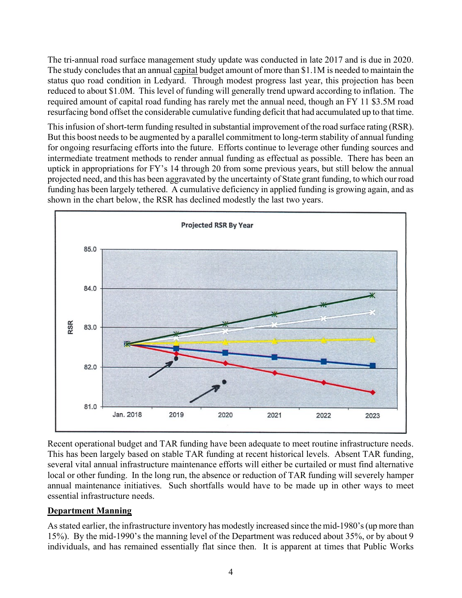The tri-annual road surface management study update was conducted in late 2017 and is due in 2020. The study concludes that an annual capital budget amount of more than \$1.1M is needed to maintain the status quo road condition in Ledyard. Through modest progress last year, this projection has been reduced to about \$1.0M. This level of funding will generally trend upward according to inflation. The required amount of capital road funding has rarely met the annual need, though an FY 11 \$3.5M road resurfacing bond offset the considerable cumulative funding deficit that had accumulated up to that time.

This infusion of short-term funding resulted in substantial improvement of the road surface rating (RSR). But this boost needs to be augmented by a parallel commitment to long-term stability of annual funding for ongoing resurfacing efforts into the future. Efforts continue to leverage other funding sources and intermediate treatment methods to render annual funding as effectual as possible. There has been an uptick in appropriations for FY's 14 through 20 from some previous years, but still below the annual projected need, and this has been aggravated by the uncertainty of State grant funding, to which our road funding has been largely tethered. A cumulative deficiency in applied funding is growing again, and as shown in the chart below, the RSR has declined modestly the last two years.



Recent operational budget and TAR funding have been adequate to meet routine infrastructure needs. This has been largely based on stable TAR funding at recent historical levels. Absent TAR funding, several vital annual infrastructure maintenance efforts will either be curtailed or must find alternative local or other funding. In the long run, the absence or reduction of TAR funding will severely hamper annual maintenance initiatives. Such shortfalls would have to be made up in other ways to meet essential infrastructure needs.

#### Department Manning

As stated earlier, the infrastructure inventory has modestly increased since the mid-1980's (up more than 15%). By the mid-1990's the manning level of the Department was reduced about 35%, or by about 9 individuals, and has remained essentially flat since then. It is apparent at times that Public Works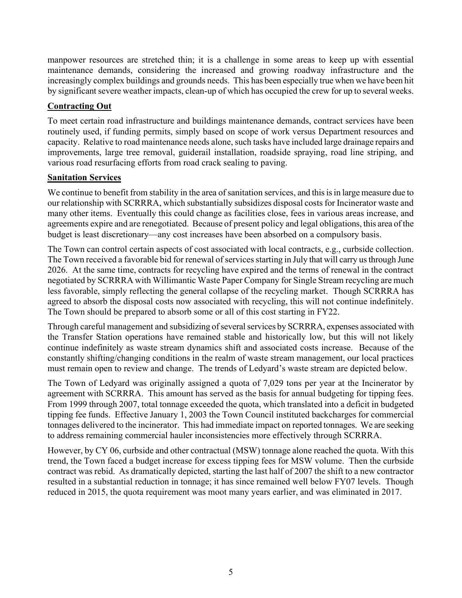manpower resources are stretched thin; it is a challenge in some areas to keep up with essential maintenance demands, considering the increased and growing roadway infrastructure and the increasingly complex buildings and grounds needs. This has been especially true when we have been hit by significant severe weather impacts, clean-up of which has occupied the crew for up to several weeks.

### Contracting Out

To meet certain road infrastructure and buildings maintenance demands, contract services have been routinely used, if funding permits, simply based on scope of work versus Department resources and capacity. Relative to road maintenance needs alone, such tasks have included large drainage repairs and improvements, large tree removal, guiderail installation, roadside spraying, road line striping, and various road resurfacing efforts from road crack sealing to paving.

#### **Sanitation Services**

We continue to benefit from stability in the area of sanitation services, and this is in large measure due to our relationship with SCRRRA, which substantially subsidizes disposal costs for Incinerator waste and many other items. Eventually this could change as facilities close, fees in various areas increase, and agreements expire and are renegotiated. Because of present policy and legal obligations, this area of the budget is least discretionary—any cost increases have been absorbed on a compulsory basis.

The Town can control certain aspects of cost associated with local contracts, e.g., curbside collection. The Town received a favorable bid for renewal of services starting in July that will carry us through June 2026. At the same time, contracts for recycling have expired and the terms of renewal in the contract negotiated by SCRRRA with Willimantic Waste Paper Company for Single Stream recycling are much less favorable, simply reflecting the general collapse of the recycling market. Though SCRRRA has agreed to absorb the disposal costs now associated with recycling, this will not continue indefinitely. The Town should be prepared to absorb some or all of this cost starting in FY22.

Through careful management and subsidizing of several services by SCRRRA, expenses associated with the Transfer Station operations have remained stable and historically low, but this will not likely continue indefinitely as waste stream dynamics shift and associated costs increase. Because of the constantly shifting/changing conditions in the realm of waste stream management, our local practices must remain open to review and change. The trends of Ledyard's waste stream are depicted below.

The Town of Ledyard was originally assigned a quota of 7,029 tons per year at the Incinerator by agreement with SCRRRA. This amount has served as the basis for annual budgeting for tipping fees. From 1999 through 2007, total tonnage exceeded the quota, which translated into a deficit in budgeted tipping fee funds. Effective January 1, 2003 the Town Council instituted backcharges for commercial tonnages delivered to the incinerator. This had immediate impact on reported tonnages. We are seeking to address remaining commercial hauler inconsistencies more effectively through SCRRRA.

However, by CY 06, curbside and other contractual (MSW) tonnage alone reached the quota. With this trend, the Town faced a budget increase for excess tipping fees for MSW volume. Then the curbside contract was rebid. As dramatically depicted, starting the last half of 2007 the shift to a new contractor resulted in a substantial reduction in tonnage; it has since remained well below FY07 levels. Though reduced in 2015, the quota requirement was moot many years earlier, and was eliminated in 2017.